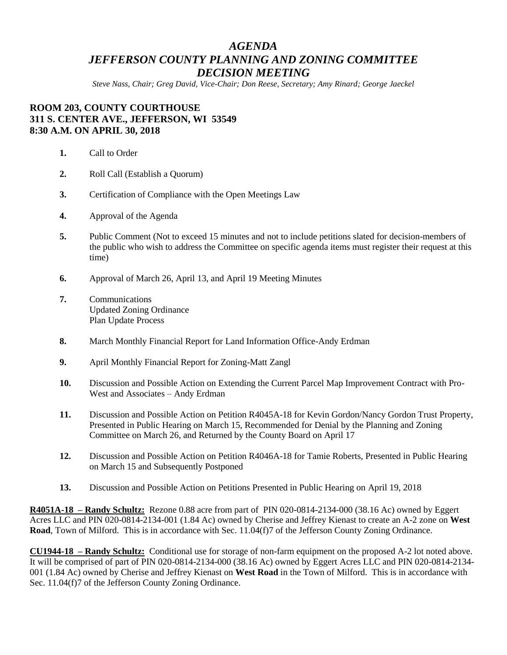## *AGENDA JEFFERSON COUNTY PLANNING AND ZONING COMMITTEE DECISION MEETING*

*Steve Nass, Chair; Greg David, Vice-Chair; Don Reese, Secretary; Amy Rinard; George Jaeckel*

## **ROOM 203, COUNTY COURTHOUSE 311 S. CENTER AVE., JEFFERSON, WI 53549 8:30 A.M. ON APRIL 30, 2018**

- **1.** Call to Order
- **2.** Roll Call (Establish a Quorum)
- **3.** Certification of Compliance with the Open Meetings Law
- **4.** Approval of the Agenda
- **5.** Public Comment (Not to exceed 15 minutes and not to include petitions slated for decision-members of the public who wish to address the Committee on specific agenda items must register their request at this time)
- **6.** Approval of March 26, April 13, and April 19 Meeting Minutes
- **7.** Communications Updated Zoning Ordinance Plan Update Process
- **8.** March Monthly Financial Report for Land Information Office-Andy Erdman
- **9.** April Monthly Financial Report for Zoning-Matt Zangl
- **10.** Discussion and Possible Action on Extending the Current Parcel Map Improvement Contract with Pro-West and Associates – Andy Erdman
- **11.** Discussion and Possible Action on Petition R4045A-18 for Kevin Gordon/Nancy Gordon Trust Property, Presented in Public Hearing on March 15, Recommended for Denial by the Planning and Zoning Committee on March 26, and Returned by the County Board on April 17
- **12.** Discussion and Possible Action on Petition R4046A-18 for Tamie Roberts, Presented in Public Hearing on March 15 and Subsequently Postponed
- **13.** Discussion and Possible Action on Petitions Presented in Public Hearing on April 19, 2018

**R4051A-18 – Randy Schultz:** Rezone 0.88 acre from part of PIN 020-0814-2134-000 (38.16 Ac) owned by Eggert Acres LLC and PIN 020-0814-2134-001 (1.84 Ac) owned by Cherise and Jeffrey Kienast to create an A-2 zone on **West Road**, Town of Milford. This is in accordance with Sec. 11.04(f)7 of the Jefferson County Zoning Ordinance.

**CU1944-18 – Randy Schultz:** Conditional use for storage of non-farm equipment on the proposed A-2 lot noted above. It will be comprised of part of PIN 020-0814-2134-000 (38.16 Ac) owned by Eggert Acres LLC and PIN 020-0814-2134- 001 (1.84 Ac) owned by Cherise and Jeffrey Kienast on **West Road** in the Town of Milford. This is in accordance with Sec. 11.04(f)7 of the Jefferson County Zoning Ordinance.